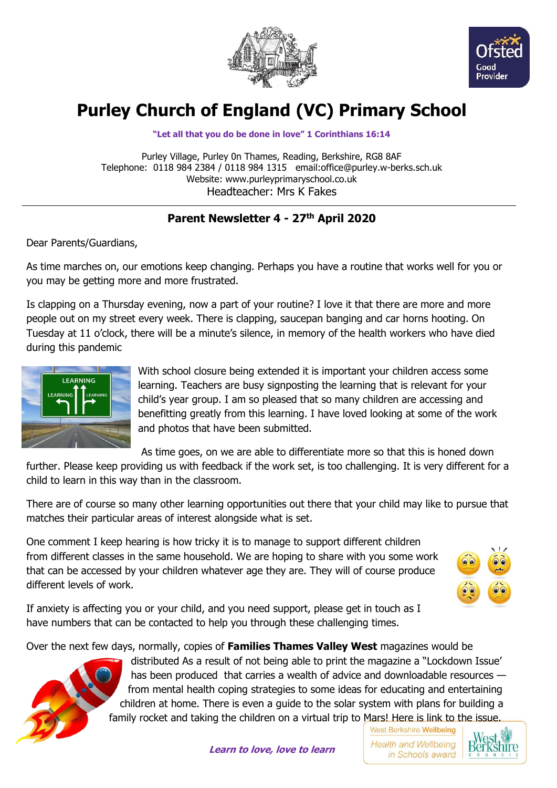



# **Purley Church of England (VC) Primary School**

**"Let all that you do be done in love" 1 Corinthians 16:14**

Purley Village, Purley 0n Thames, Reading, Berkshire, RG8 8AF Telephone: 0118 984 2384 / 0118 984 1315 email:office@purley.w-berks.sch.uk Website: www.purleyprimaryschool.co.uk Headteacher: Mrs K Fakes

## **Parent Newsletter 4 - 27th April 2020**

Dear Parents/Guardians,

As time marches on, our emotions keep changing. Perhaps you have a routine that works well for you or you may be getting more and more frustrated.

Is clapping on a Thursday evening, now a part of your routine? I love it that there are more and more people out on my street every week. There is clapping, saucepan banging and car horns hooting. On Tuesday at 11 o'clock, there will be a minute's silence, in memory of the health workers who have died during this pandemic



With school closure being extended it is important your children access some learning. Teachers are busy signposting the learning that is relevant for your child's year group. I am so pleased that so many children are accessing and benefitting greatly from this learning. I have loved looking at some of the work and photos that have been submitted.

As time goes, on we are able to differentiate more so that this is honed down

further. Please keep providing us with feedback if the work set, is too challenging. It is very different for a child to learn in this way than in the classroom.

There are of course so many other learning opportunities out there that your child may like to pursue that matches their particular areas of interest alongside what is set.

One comment I keep hearing is how tricky it is to manage to support different children from different classes in the same household. We are hoping to share with you some work that can be accessed by your children whatever age they are. They will of course produce different levels of work.



If anxiety is affecting you or your child, and you need support, please get in touch as I have numbers that can be contacted to help you through these challenging times.

Over the next few days, normally, copies of **Families Thames Valley West** magazines would be



distributed As a result of not being able to print the magazine a "Lockdown Issue' has been produced that carries a wealth of advice and downloadable resources from mental health coping strategies to some ideas for educating and entertaining children at home. There is even a guide to the solar system with plans for building a family rocket and taking the children on a virtual trip to Mars! Here is link to the issue.

**Learn to love, love to learn**

West Berkshire Wellbeing **Health and Wellbeing** in Schools award